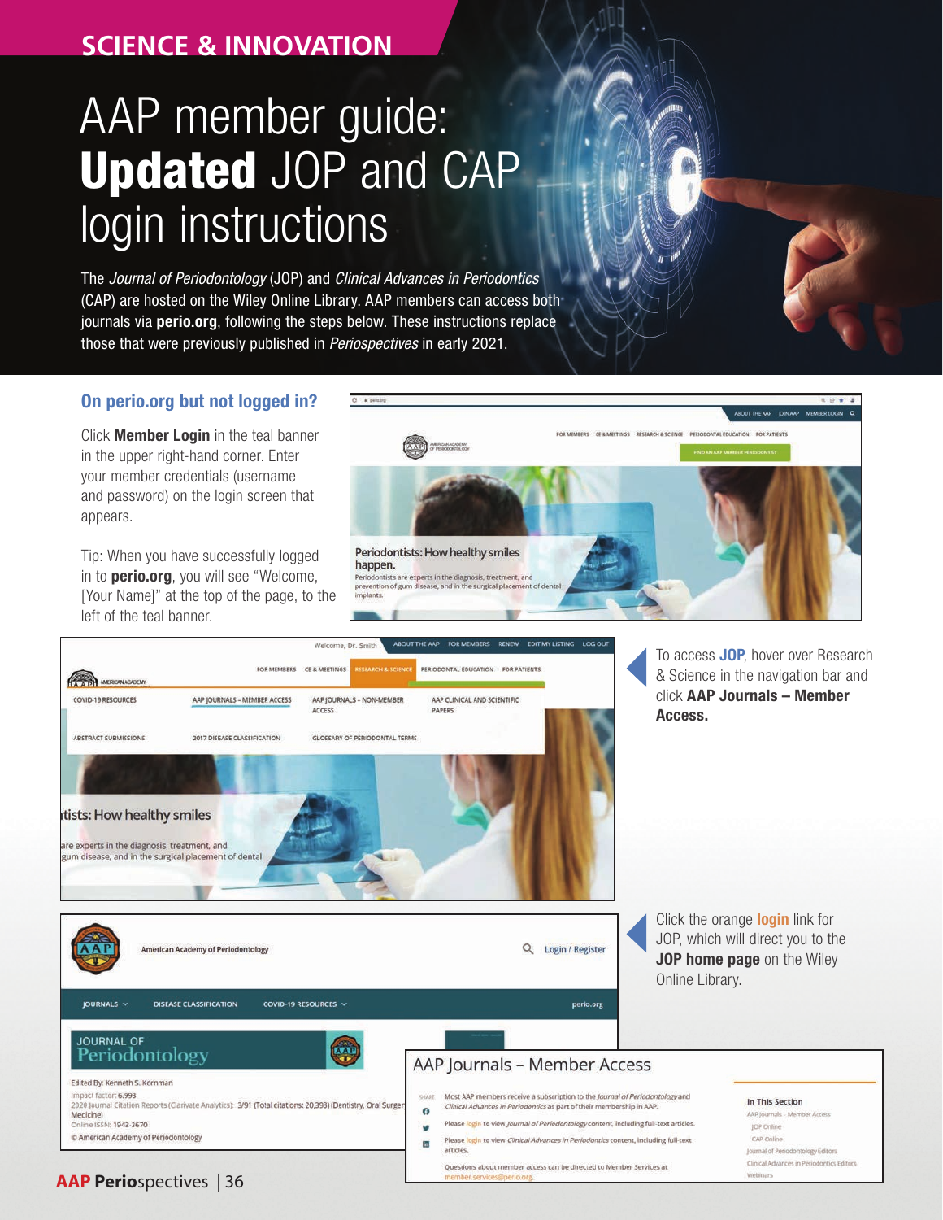# **SCIENCE & INNOVATION**

# AAP member guide: Updated JOP and CAP login instructions

The *Journal of Periodontology* (JOP) and *Clinical Advances in Periodontics* (CAP) are hosted on the Wiley Online Library. AAP members can access both journals via perio.org, following the steps below. These instructions replace those that were previously published in *Periospectives* in early 2021.

#### On perio.org but not logged in?

Click **Member Login** in the teal banner in the upper right-hand corner. Enter your member credentials (username and password) on the login screen that appears.

Tip: When you have successfully logged in to **perio.org**, you will see "Welcome, [Your Name]" at the top of the page, to the left of the teal banner.

**AAP Perio**spectives | 36





To access **JOP**, hover over Research & Science in the navigation bar and click AAP Journals – Member

Click the orange **login** link for JOP, which will direct you to the JOP home page on the Wiley

#### In This Section

AAP Journals - Member Access JOP Online CAP Online Journal of Periodontology Editors Clinical Advances in Periodontics Editor Webinars